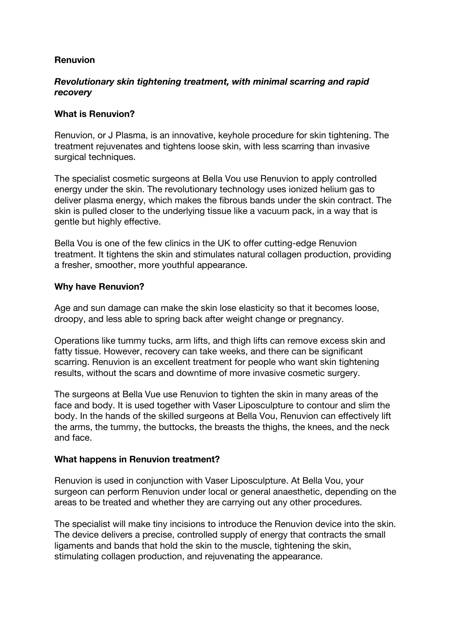# **Renuvion**

# *Revolutionary skin tightening treatment, with minimal scarring and rapid recovery*

### **What is Renuvion?**

Renuvion, or J Plasma, is an innovative, keyhole procedure for skin tightening. The treatment rejuvenates and tightens loose skin, with less scarring than invasive surgical techniques.

The specialist cosmetic surgeons at Bella Vou use Renuvion to apply controlled energy under the skin. The revolutionary technology uses ionized helium gas to deliver plasma energy, which makes the fibrous bands under the skin contract. The skin is pulled closer to the underlying tissue like a vacuum pack, in a way that is gentle but highly effective.

Bella Vou is one of the few clinics in the UK to offer cutting-edge Renuvion treatment. It tightens the skin and stimulates natural collagen production, providing a fresher, smoother, more youthful appearance.

#### **Why have Renuvion?**

Age and sun damage can make the skin lose elasticity so that it becomes loose, droopy, and less able to spring back after weight change or pregnancy.

Operations like tummy tucks, arm lifts, and thigh lifts can remove excess skin and fatty tissue. However, recovery can take weeks, and there can be significant scarring. Renuvion is an excellent treatment for people who want skin tightening results, without the scars and downtime of more invasive cosmetic surgery.

The surgeons at Bella Vue use Renuvion to tighten the skin in many areas of the face and body. It is used together with Vaser Liposculpture to contour and slim the body. In the hands of the skilled surgeons at Bella Vou, Renuvion can effectively lift the arms, the tummy, the buttocks, the breasts the thighs, the knees, and the neck and face.

#### **What happens in Renuvion treatment?**

Renuvion is used in conjunction with Vaser Liposculpture. At Bella Vou, your surgeon can perform Renuvion under local or general anaesthetic, depending on the areas to be treated and whether they are carrying out any other procedures.

The specialist will make tiny incisions to introduce the Renuvion device into the skin. The device delivers a precise, controlled supply of energy that contracts the small ligaments and bands that hold the skin to the muscle, tightening the skin, stimulating collagen production, and rejuvenating the appearance.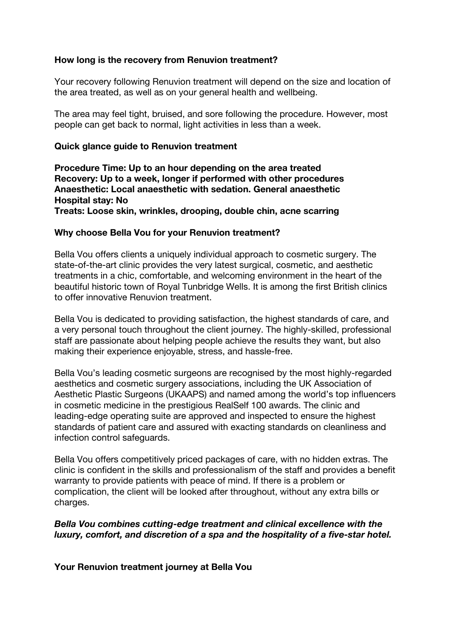# **How long is the recovery from Renuvion treatment?**

Your recovery following Renuvion treatment will depend on the size and location of the area treated, as well as on your general health and wellbeing.

The area may feel tight, bruised, and sore following the procedure. However, most people can get back to normal, light activities in less than a week.

### **Quick glance guide to Renuvion treatment**

**Procedure Time: Up to an hour depending on the area treated Recovery: Up to a week, longer if performed with other procedures Anaesthetic: Local anaesthetic with sedation. General anaesthetic Hospital stay: No**

**Treats: Loose skin, wrinkles, drooping, double chin, acne scarring**

# **Why choose Bella Vou for your Renuvion treatment?**

Bella Vou offers clients a uniquely individual approach to cosmetic surgery. The state-of-the-art clinic provides the very latest surgical, cosmetic, and aesthetic treatments in a chic, comfortable, and welcoming environment in the heart of the beautiful historic town of Royal Tunbridge Wells. It is among the first British clinics to offer innovative Renuvion treatment.

Bella Vou is dedicated to providing satisfaction, the highest standards of care, and a very personal touch throughout the client journey. The highly-skilled, professional staff are passionate about helping people achieve the results they want, but also making their experience enjoyable, stress, and hassle-free.

Bella Vou's leading cosmetic surgeons are recognised by the most highly-regarded aesthetics and cosmetic surgery associations, including the UK Association of Aesthetic Plastic Surgeons (UKAAPS) and named among the world's top influencers in cosmetic medicine in the prestigious RealSelf 100 awards. The clinic and leading-edge operating suite are approved and inspected to ensure the highest standards of patient care and assured with exacting standards on cleanliness and infection control safeguards.

Bella Vou offers competitively priced packages of care, with no hidden extras. The clinic is confident in the skills and professionalism of the staff and provides a benefit warranty to provide patients with peace of mind. If there is a problem or complication, the client will be looked after throughout, without any extra bills or charges.

*Bella Vou combines cutting-edge treatment and clinical excellence with the luxury, comfort, and discretion of a spa and the hospitality of a five-star hotel.*

**Your Renuvion treatment journey at Bella Vou**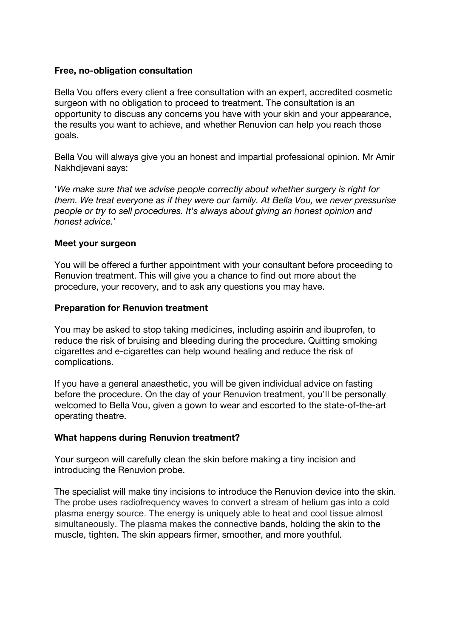#### **Free, no-obligation consultation**

Bella Vou offers every client a free consultation with an expert, accredited cosmetic surgeon with no obligation to proceed to treatment. The consultation is an opportunity to discuss any concerns you have with your skin and your appearance, the results you want to achieve, and whether Renuvion can help you reach those goals.

Bella Vou will always give you an honest and impartial professional opinion. Mr Amir Nakhdjevani says:

'*We make sure that we advise people correctly about whether surgery is right for them. We treat everyone as if they were our family. At Bella Vou, we never pressurise people or try to sell procedures. It's always about giving an honest opinion and honest advice.*'

#### **Meet your surgeon**

You will be offered a further appointment with your consultant before proceeding to Renuvion treatment. This will give you a chance to find out more about the procedure, your recovery, and to ask any questions you may have.

# **Preparation for Renuvion treatment**

You may be asked to stop taking medicines, including aspirin and ibuprofen, to reduce the risk of bruising and bleeding during the procedure. Quitting smoking cigarettes and e-cigarettes can help wound healing and reduce the risk of complications.

If you have a general anaesthetic, you will be given individual advice on fasting before the procedure. On the day of your Renuvion treatment, you'll be personally welcomed to Bella Vou, given a gown to wear and escorted to the state-of-the-art operating theatre.

# **What happens during Renuvion treatment?**

Your surgeon will carefully clean the skin before making a tiny incision and introducing the Renuvion probe.

The specialist will make tiny incisions to introduce the Renuvion device into the skin. The probe uses radiofrequency waves to convert a stream of helium gas into a cold plasma energy source. The energy is uniquely able to heat and cool tissue almost simultaneously. The plasma makes the connective bands, holding the skin to the muscle, tighten. The skin appears firmer, smoother, and more youthful.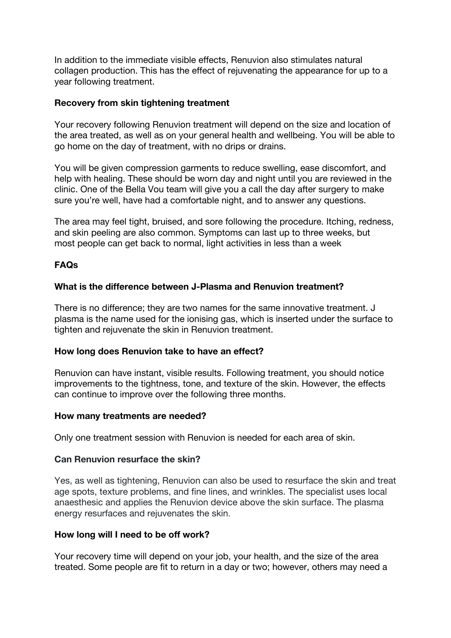In addition to the immediate visible effects, Renuvion also stimulates natural collagen production. This has the effect of rejuvenating the appearance for up to a year following treatment.

# **Recovery from skin tightening treatment**

Your recovery following Renuvion treatment will depend on the size and location of the area treated, as well as on your general health and wellbeing. You will be able to go home on the day of treatment, with no drips or drains.

You will be given compression garments to reduce swelling, ease discomfort, and help with healing. These should be worn day and night until you are reviewed in the clinic. One of the Bella Vou team will give you a call the day after surgery to make sure you're well, have had a comfortable night, and to answer any questions.

The area may feel tight, bruised, and sore following the procedure. Itching, redness, and skin peeling are also common. Symptoms can last up to three weeks, but most people can get back to normal, light activities in less than a week

# **FAQs**

# **What is the difference between J-Plasma and Renuvion treatment?**

There is no difference; they are two names for the same innovative treatment. J plasma is the name used for the ionising gas, which is inserted under the surface to tighten and rejuvenate the skin in Renuvion treatment.

#### **How long does Renuvion take to have an effect?**

Renuvion can have instant, visible results. Following treatment, you should notice improvements to the tightness, tone, and texture of the skin. However, the effects can continue to improve over the following three months.

#### **How many treatments are needed?**

Only one treatment session with Renuvion is needed for each area of skin.

#### **Can Renuvion resurface the skin?**

Yes, as well as tightening, Renuvion can also be used to resurface the skin and treat age spots, texture problems, and fine lines, and wrinkles. The specialist uses local anaesthesic and applies the Renuvion device above the skin surface. The plasma energy resurfaces and rejuvenates the skin.

#### **How long will I need to be off work?**

Your recovery time will depend on your job, your health, and the size of the area treated. Some people are fit to return in a day or two; however, others may need a